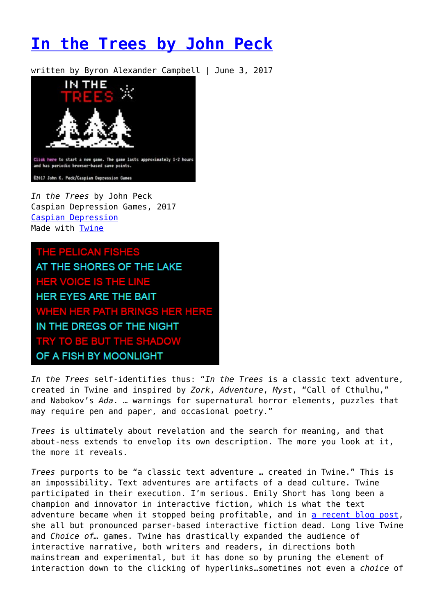# **[In the Trees by John Peck](https://entropymag.org/in-the-trees-by-john-peck/)**

written by Byron Alexander Campbell | June 3, 2017



*In the Trees* by John Peck Caspian Depression Games, 2017 [Caspian Depression](https://caspiandepression.itch.io/in-the-trees) Made with [Twine](https://twinery.org/)

THE PELICAN FISHES AT THE SHORES OF THE LAKE **HER VOICE IS THE LINE HER EYES ARE THE BAIT** WHEN HER PATH BRINGS HER HERE IN THE DREGS OF THE NIGHT **TRY TO BE BUT THE SHADOW** OF A FISH BY MOONLIGHT

*In the Trees* self-identifies thus: "*In the Trees* is a classic text adventure, created in Twine and inspired by *Zork*, *Adventure*, *Myst*, "Call of Cthulhu," and Nabokov's *Ada*. … warnings for supernatural horror elements, puzzles that may require pen and paper, and occasional poetry."

*Trees* is ultimately about revelation and the search for meaning, and that about-ness extends to envelop its own description. The more you look at it, the more it reveals.

*Trees* purports to be "a classic text adventure … created in Twine." This is an impossibility. Text adventures are artifacts of a dead culture. Twine participated in their execution. I'm serious. Emily Short has long been a champion and innovator in interactive fiction, which is what the text adventure became when it stopped being profitable, and in [a recent blog post,](https://emshort.blog/2017/05/04/mailbag-the-endangered-art-of-parser-if/#more-32431) she all but pronounced parser-based interactive fiction dead. Long live Twine and *Choice of…* games. Twine has drastically expanded the audience of interactive narrative, both writers and readers, in directions both mainstream and experimental, but it has done so by pruning the element of interaction down to the clicking of hyperlinks…sometimes not even a *choice* of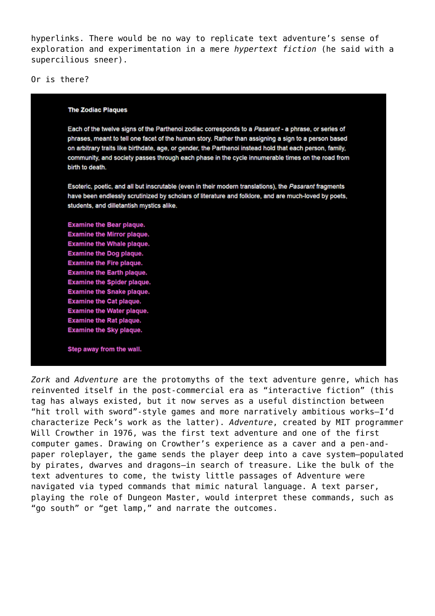hyperlinks. There would be no way to replicate text adventure's sense of exploration and experimentation in a mere *hypertext fiction* (he said with a supercilious sneer).

Or is there?

#### **The Zodiac Plaques**

Each of the twelve signs of the Parthenoi zodiac corresponds to a Pasarant - a phrase, or series of phrases, meant to tell one facet of the human story. Rather than assigning a sign to a person based on arbitrary traits like birthdate, age, or gender, the Parthenoi instead hold that each person, family, community, and society passes through each phase in the cycle innumerable times on the road from birth to death.

Esoteric, poetic, and all but inscrutable (even in their modern translations), the Pasarant fragments have been endlessly scrutinized by scholars of literature and folklore, and are much-loved by poets, students, and dilletantish mystics alike.

**Examine the Bear plaque. Examine the Mirror plaque. Examine the Whale plaque. Examine the Dog plaque. Examine the Fire plaque. Examine the Earth plaque. Examine the Spider plaque. Examine the Snake plaque. Examine the Cat plaque. Examine the Water plaque. Examine the Rat plaque. Examine the Sky plaque.** 

Step away from the wall.

*Zork* and *Adventure* are the protomyths of the text adventure genre, which has reinvented itself in the post-commercial era as "interactive fiction" (this tag has always existed, but it now serves as a useful distinction between "hit troll with sword"-style games and more narratively ambitious works–I'd characterize Peck's work as the latter). *Adventure*, created by MIT programmer Will Crowther in 1976, was the first text adventure and one of the first computer games. Drawing on Crowther's experience as a caver and a pen-andpaper roleplayer, the game sends the player deep into a cave system–populated by pirates, dwarves and dragons–in search of treasure. Like the bulk of the text adventures to come, the twisty little passages of Adventure were navigated via typed commands that mimic natural language. A text parser, playing the role of Dungeon Master, would interpret these commands, such as "go south" or "get lamp," and narrate the outcomes.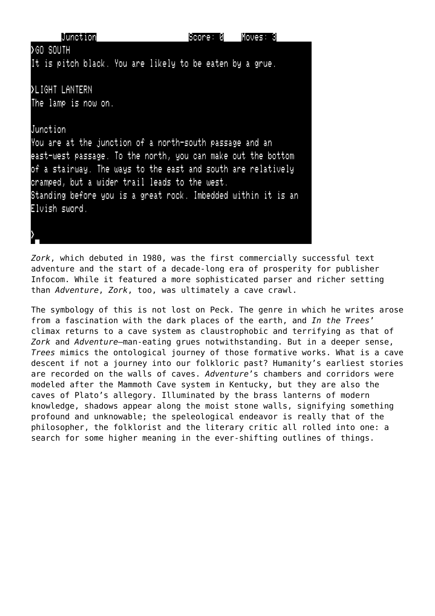| Junction                                                      | Score: 0 | Moves: 3 |
|---------------------------------------------------------------|----------|----------|
| ≯GO SOUTH                                                     |          |          |
| It is pitch black. You are likely to be eaten by a grue.      |          |          |
| >LIGHT LANTERN                                                |          |          |
| The lamp is now on.                                           |          |          |
| Junction                                                      |          |          |
| You are at the junction of a north-south passage and an       |          |          |
| east-west passage. To the north, you can make out the bottom  |          |          |
| of a stairway. The ways to the east and south are relatively  |          |          |
| cramped, but a wider trail leads to the west.                 |          |          |
| Standing before you is a great rock. Imbedded within it is an |          |          |
| Elvish sword.                                                 |          |          |
|                                                               |          |          |
|                                                               |          |          |

*Zork*, which debuted in 1980, was the first commercially successful text adventure and the start of a decade-long era of prosperity for publisher Infocom. While it featured a more sophisticated parser and richer setting than *Adventure*, *Zork*, too, was ultimately a cave crawl.

The symbology of this is not lost on Peck. The genre in which he writes arose from a fascination with the dark places of the earth, and *In the Trees*' climax returns to a cave system as claustrophobic and terrifying as that of *Zork* and *Adventure*–man-eating grues notwithstanding. But in a deeper sense, *Trees* mimics the ontological journey of those formative works. What is a cave descent if not a journey into our folkloric past? Humanity's earliest stories are recorded on the walls of caves. *Adventure*'s chambers and corridors were modeled after the Mammoth Cave system in Kentucky, but they are also the caves of Plato's allegory. Illuminated by the brass lanterns of modern knowledge, shadows appear along the moist stone walls, signifying something profound and unknowable; the speleological endeavor is really that of the philosopher, the folklorist and the literary critic all rolled into one: a search for some higher meaning in the ever-shifting outlines of things.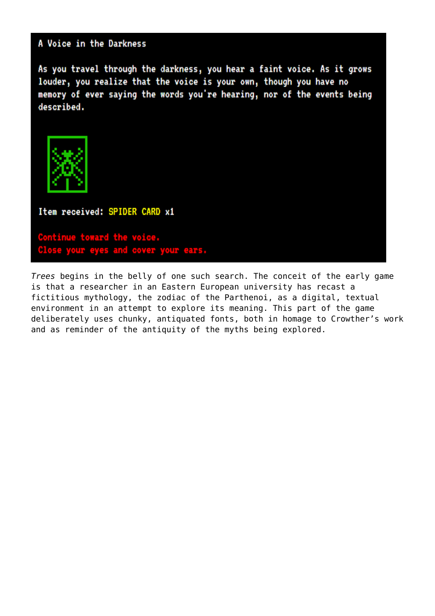### A Voice in the Darkness

As you travel through the darkness, you hear a faint voice. As it grows louder, you realize that the voice is your own, though you have no memory of ever saying the words you're hearing, nor of the events being described.



Item received: SPIDER CARD x1

Continue toward the voice Close your eyes and cover your ears.

Trees begins in the belly of one such search. The conceit of the early game is that a researcher in an Eastern European university has recast a fictitious mythology, the zodiac of the Parthenoi, as a digital, textual environment in an attempt to explore its meaning. This part of the game deliberately uses chunky, antiquated fonts, both in homage to Crowther's work and as reminder of the antiquity of the myths being explored.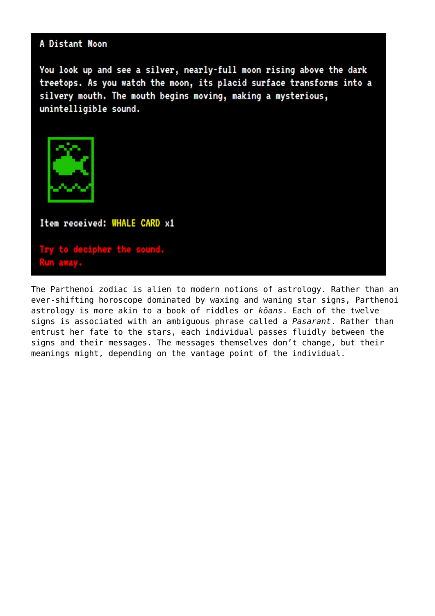#### A Distant Moon

You look up and see a silver, nearly-full moon rising above the dark treetops. As you watch the moon, its placid surface transforms into a silvery mouth. The mouth begins moving, making a mysterious, unintelligible sound.



Item received: WHALE CARD x1

Try to decipher the sound. away.

The Parthenoi zodiac is alien to modern notions of astrology. Rather than an ever-shifting horoscope dominated by waxing and waning star signs, Parthenoi astrology is more akin to a book of riddles or koans. Each of the twelve signs is associated with an ambiguous phrase called a Pasarant. Rather than entrust her fate to the stars, each individual passes fluidly between the signs and their messages. The messages themselves don't change, but their meanings might, depending on the vantage point of the individual.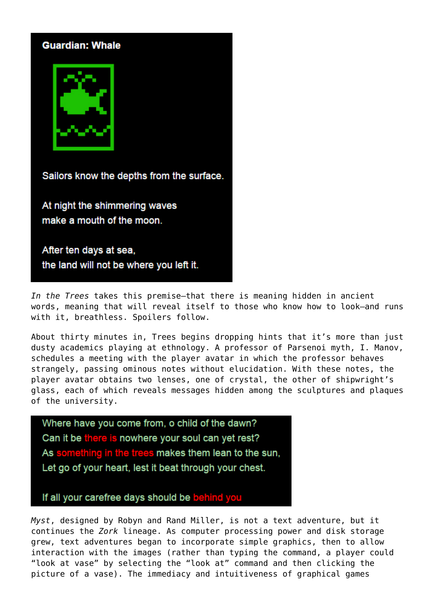#### **Guardian: Whale**



Sailors know the depths from the surface.

At night the shimmering waves make a mouth of the moon.

After ten days at sea, the land will not be where you left it.

*In the Trees* takes this premise–that there is meaning hidden in ancient words, meaning that will reveal itself to those who know how to look–and runs with it, breathless. Spoilers follow.

About thirty minutes in, Trees begins dropping hints that it's more than just dusty academics playing at ethnology. A professor of Parsenoi myth, I. Manov, schedules a meeting with the player avatar in which the professor behaves strangely, passing ominous notes without elucidation. With these notes, the player avatar obtains two lenses, one of crystal, the other of shipwright's glass, each of which reveals messages hidden among the sculptures and plaques of the university.

Where have you come from, o child of the dawn? Can it be there is nowhere your soul can yet rest? As something in the trees makes them lean to the sun, Let go of your heart, lest it beat through your chest.

If all your carefree days should be behind you

*Myst*, designed by Robyn and Rand Miller, is not a text adventure, but it continues the *Zork* lineage. As computer processing power and disk storage grew, text adventures began to incorporate simple graphics, then to allow interaction with the images (rather than typing the command, a player could "look at vase" by selecting the "look at" command and then clicking the picture of a vase). The immediacy and intuitiveness of graphical games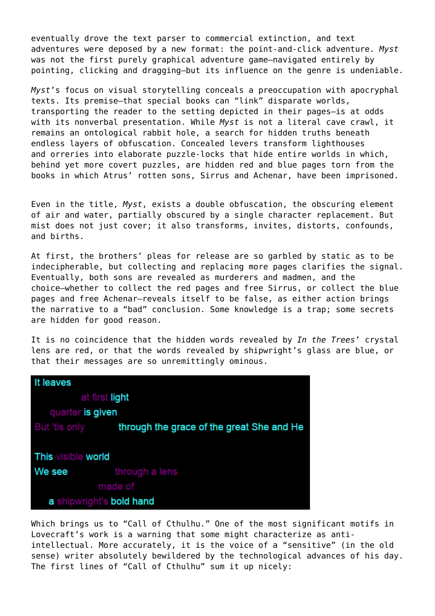eventually drove the text parser to commercial extinction, and text adventures were deposed by a new format: the point-and-click adventure. *Myst* was not the first purely graphical adventure game–navigated entirely by pointing, clicking and dragging–but its influence on the genre is undeniable.

*Myst*'s focus on visual storytelling conceals a preoccupation with apocryphal texts. Its premise–that special books can "link" disparate worlds, transporting the reader to the setting depicted in their pages–is at odds with its nonverbal presentation. While *Myst* is not a literal cave crawl, it remains an ontological rabbit hole, a search for hidden truths beneath endless layers of obfuscation. Concealed levers transform lighthouses and orreries into elaborate puzzle-locks that hide entire worlds in which, behind yet more covert puzzles, are hidden red and blue pages torn from the books in which Atrus' rotten sons, Sirrus and Achenar, have been imprisoned.

Even in the title, *Myst*, exists a double obfuscation, the obscuring element of air and water, partially obscured by a single character replacement. But mist does not just cover; it also transforms, invites, distorts, confounds, and births.

At first, the brothers' pleas for release are so garbled by static as to be indecipherable, but collecting and replacing more pages clarifies the signal. Eventually, both sons are revealed as murderers and madmen, and the choice–whether to collect the red pages and free Sirrus, or collect the blue pages and free Achenar–reveals itself to be false, as either action brings the narrative to a "bad" conclusion. Some knowledge is a trap; some secrets are hidden for good reason.

It is no coincidence that the hidden words revealed by *In the Trees*' crystal lens are red, or that the words revealed by shipwright's glass are blue, or that their messages are so unremittingly ominous.

| It leaves                 |                                                                |  |
|---------------------------|----------------------------------------------------------------|--|
| at first light            |                                                                |  |
| quarter is given          |                                                                |  |
|                           | But 'tis only <b>through the grace of the great She and He</b> |  |
|                           |                                                                |  |
| <b>This visible world</b> |                                                                |  |
| We see                    | through a lens                                                 |  |
|                           | made of                                                        |  |
| a shipwright's bold hand  |                                                                |  |

Which brings us to "Call of Cthulhu." One of the most significant motifs in Lovecraft's work is a warning that some might characterize as antiintellectual. More accurately, it is the voice of a "sensitive" (in the old sense) writer absolutely bewildered by the technological advances of his day. The first lines of "Call of Cthulhu" sum it up nicely: